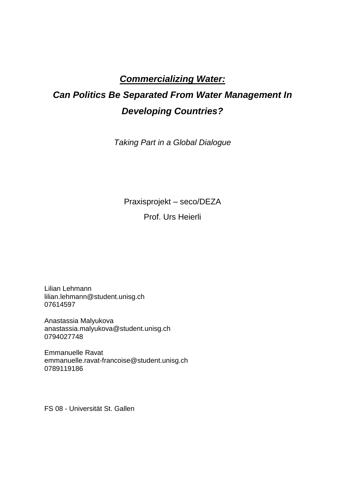# *Commercializing Water:*

# *Can Politics Be Separated From Water Management In Developing Countries?*

*Taking Part in a Global Dialogue*

Praxisprojekt – seco/DEZA

Prof. Urs Heierli

Lilian Lehmann lilian.lehmann@student.unisg.ch 07614597

Anastassia Malyukova anastassia.malyukova@student.unisg.ch 0794027748

Emmanuelle Ravat emmanuelle.ravat-francoise@student.unisg.ch 0789119186

FS 08 - Universität St. Gallen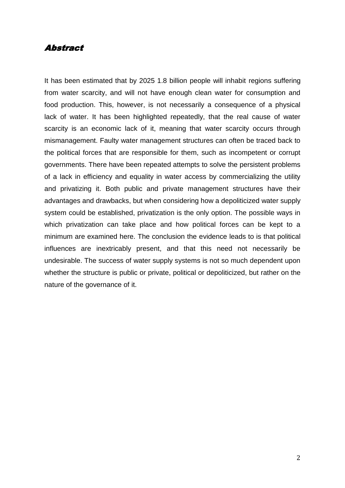### Abstract

It has been estimated that by 2025 1.8 billion people will inhabit regions suffering from water scarcity, and will not have enough clean water for consumption and food production. This, however, is not necessarily a consequence of a physical lack of water. It has been highlighted repeatedly, that the real cause of water scarcity is an economic lack of it, meaning that water scarcity occurs through mismanagement. Faulty water management structures can often be traced back to the political forces that are responsible for them, such as incompetent or corrupt governments. There have been repeated attempts to solve the persistent problems of a lack in efficiency and equality in water access by commercializing the utility and privatizing it. Both public and private management structures have their advantages and drawbacks, but when considering how a depoliticized water supply system could be established, privatization is the only option. The possible ways in which privatization can take place and how political forces can be kept to a minimum are examined here. The conclusion the evidence leads to is that political influences are inextricably present, and that this need not necessarily be undesirable. The success of water supply systems is not so much dependent upon whether the structure is public or private, political or depoliticized, but rather on the nature of the governance of it.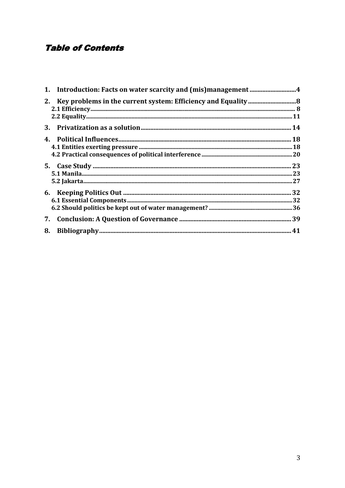# **Table of Contents**

| 7. |  |
|----|--|
| 8. |  |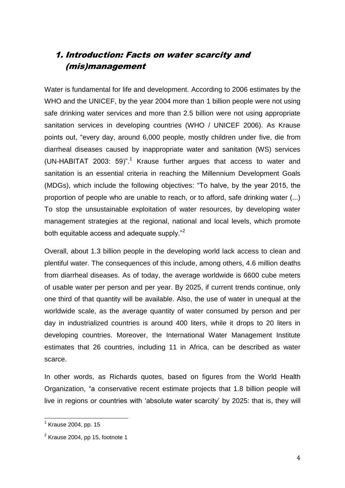# 1. Introduction: Facts on water scarcity and (mis)management

Water is fundamental for life and development. According to 2006 estimates by the WHO and the UNICEF, by the year 2004 more than 1 billion people were not using safe drinking water services and more than 2.5 billion were not using appropriate sanitation services in developing countries (WHO / UNICEF 2006). As Krause points out, "every day, around 6,000 people, mostly children under five, die from diarrheal diseases caused by inappropriate water and sanitation (WS) services (UN-HABITAT 2003: 59)".<sup>1</sup> Krause further argues that access to water and sanitation is an essential criteria in reaching the Millennium Development Goals (MDGs), which include the following objectives: "To halve, by the year 2015, the proportion of people who are unable to reach, or to afford, safe drinking water (...) To stop the unsustainable exploitation of water resources, by developing water management strategies at the regional, national and local levels, which promote both equitable access and adequate supply."<sup>2</sup>

Overall, about 1.3 billion people in the developing world lack access to clean and plentiful water. The consequences of this include, among others, 4.6 million deaths from diarrheal diseases. As of today, the average worldwide is 6600 cube meters of usable water per person and per year. By 2025, if current trends continue, only one third of that quantity will be available. Also, the use of water in unequal at the worldwide scale, as the average quantity of water consumed by person and per day in industrialized countries is around 400 liters, while it drops to 20 liters in developing countries. Moreover, the International Water Management Institute estimates that 26 countries, including 11 in Africa, can be described as water scarce.

In other words, as Richards quotes, based on figures from the World Health Organization, "a conservative recent estimate projects that 1.8 billion people will live in regions or countries with "absolute water scarcity" by 2025: that is, they will

<sup>&</sup>lt;sup>1</sup> Krause 2004, pp. 15

 $2$  Krause 2004, pp 15, footnote 1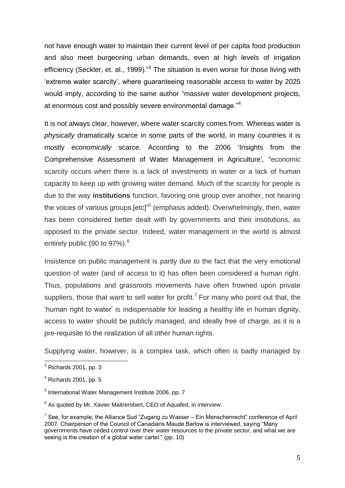not have enough water to maintain their current level of per capita food production and also meet burgeoning urban demands, even at high levels of irrigation efficiency (Seckler, et. al., 1999)."<sup>3</sup> The situation is even worse for those living with "extreme water scarcity", where guaranteeing reasonable access to water by 2025 would imply, according to the same author "massive water development projects, at enormous cost and possibly severe environmental damage."<sup>4</sup>

It is not always clear, however, where water scarcity comes from. Whereas water is *physically* dramatically scarce in some parts of the world, in many countries it is mostly *economically* scarce. According to the 2006 "Insights from the Comprehensive Assessment of Water Management in Agriculture"*,* "economic scarcity occurs when there is a lack of investments in water or a lack of human capacity to keep up with growing water demand. Much of the scarcity for people is due to the way **institutions** function, favoring one group over another, not hearing the voices of various groups,[etc]"<sup>5</sup> (emphasis added). Overwhelmingly, then, water has been considered better dealt with by governments and their institutions, as opposed to the private sector. Indeed, water management in the world is almost entirely public (90 to  $97\%$ ).<sup>6</sup>

Insistence on public management is partly due to the fact that the very emotional question of water (and of access to it) has often been considered a human right. Thus, populations and grassroots movements have often frowned upon private suppliers, those that want to sell water for profit.<sup>7</sup> For many who point out that, the "human right to water" is indispensable for leading a healthy life in human dignity, access to water should be publicly managed, and ideally free of charge, as it is a pre-requisite to the realization of all other human rights.

Supplying water, however, is a complex task, which often is badly managed by

 $^3$  Richards 2001, pp. 3

 $<sup>4</sup>$  Richards 2001, pp. 5</sup>

<sup>&</sup>lt;sup>5</sup> International Water Management Institute 2006, pp. 7

 $6$  As quoted by Mr. Xavier Maitrerobert, CEO of Aquafed, in interview.

 $7$  See, for example, the Alliance Sud "Zugang zu Wasser – Ein Menschenrecht" conference of April 2007. Chairperson of the Council of Canadians Maude Barlow is interviewed, saying "Many governments have ceded control over their water resources to the private sector, and what we are seeing is the creation of a global water cartel." (pp. 10)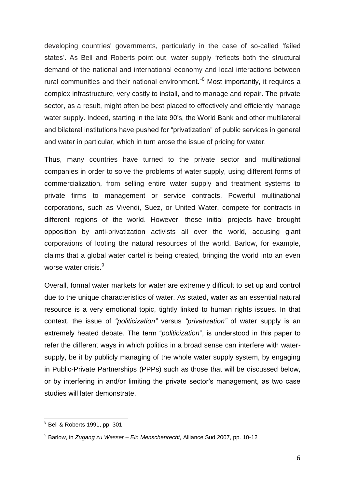developing countries' governments, particularly in the case of so-called "failed states'. As Bell and Roberts point out, water supply "reflects both the structural demand of the national and international economy and local interactions between rural communities and their national environment."<sup>8</sup> Most importantly, it requires a complex infrastructure, very costly to install, and to manage and repair. The private sector, as a result, might often be best placed to effectively and efficiently manage water supply. Indeed, starting in the late 90's, the World Bank and other multilateral and bilateral institutions have pushed for "privatization" of public services in general and water in particular, which in turn arose the issue of pricing for water.

Thus, many countries have turned to the private sector and multinational companies in order to solve the problems of water supply, using different forms of commercialization, from selling entire water supply and treatment systems to private firms to management or service contracts. Powerful multinational corporations, such as Vivendi, Suez, or United Water, compete for contracts in different regions of the world. However, these initial projects have brought opposition by anti-privatization activists all over the world, accusing giant corporations of looting the natural resources of the world. Barlow, for example, claims that a global water cartel is being created, bringing the world into an even worse water crisis.<sup>9</sup>

Overall, formal water markets for water are extremely difficult to set up and control due to the unique characteristics of water. As stated, water as an essential natural resource is a very emotional topic, tightly linked to human rights issues. In that context, the issue of *"politicization"* versus *"privatization"* of water supply is an extremely heated debate. The term "*politicization*", is understood in this paper to refer the different ways in which politics in a broad sense can interfere with watersupply, be it by publicly managing of the whole water supply system, by engaging in Public-Private Partnerships (PPPs) such as those that will be discussed below, or by interfering in and/or limiting the private sector"s management, as two case studies will later demonstrate.

 8 Bell & Roberts 1991, pp. 301

<sup>9</sup> Barlow, in *Zugang zu Wasser – Ein Menschenrecht,* Alliance Sud 2007, pp. 10-12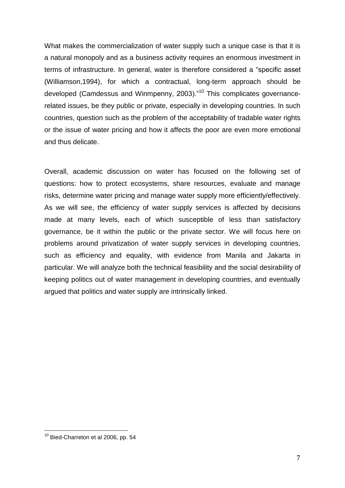What makes the commercialization of water supply such a unique case is that it is a natural monopoly and as a business activity requires an enormous investment in terms of infrastructure. In general, water is therefore considered a "specific asset (Williamson,1994), for which a contractual, long-term approach should be developed (Camdessus and Winmpenny, 2003)."<sup>10</sup> This complicates governancerelated issues, be they public or private, especially in developing countries. In such countries, question such as the problem of the acceptability of tradable water rights or the issue of water pricing and how it affects the poor are even more emotional and thus delicate.

Overall, academic discussion on water has focused on the following set of questions: how to protect ecosystems, share resources, evaluate and manage risks, determine water pricing and manage water supply more efficiently/effectively. As we will see, the efficiency of water supply services is affected by decisions made at many levels, each of which susceptible of less than satisfactory governance, be it within the public or the private sector. We will focus here on problems around privatization of water supply services in developing countries, such as efficiency and equality, with evidence from Manila and Jakarta in particular. We will analyze both the technical feasibility and the social desirability of keeping politics out of water management in developing countries, and eventually argued that politics and water supply are intrinsically linked.

 $^{10}$  Bied-Charreton et al 2006, pp. 54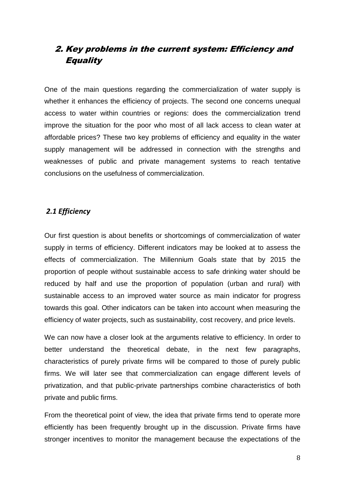# 2. Key problems in the current system: Efficiency and Equality

One of the main questions regarding the commercialization of water supply is whether it enhances the efficiency of projects. The second one concerns unequal access to water within countries or regions: does the commercialization trend improve the situation for the poor who most of all lack access to clean water at affordable prices? These two key problems of efficiency and equality in the water supply management will be addressed in connection with the strengths and weaknesses of public and private management systems to reach tentative conclusions on the usefulness of commercialization.

### *2.1 Efficiency*

Our first question is about benefits or shortcomings of commercialization of water supply in terms of efficiency. Different indicators may be looked at to assess the effects of commercialization. The Millennium Goals state that by 2015 the proportion of people without sustainable access to safe drinking water should be reduced by half and use the proportion of population (urban and rural) with sustainable access to an improved water source as main indicator for progress towards this goal. Other indicators can be taken into account when measuring the efficiency of water projects, such as sustainability, cost recovery, and price levels.

We can now have a closer look at the arguments relative to efficiency. In order to better understand the theoretical debate, in the next few paragraphs, characteristics of purely private firms will be compared to those of purely public firms. We will later see that commercialization can engage different levels of privatization, and that public-private partnerships combine characteristics of both private and public firms.

From the theoretical point of view, the idea that private firms tend to operate more efficiently has been frequently brought up in the discussion. Private firms have stronger incentives to monitor the management because the expectations of the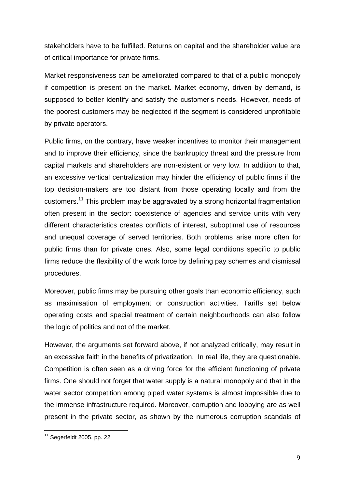stakeholders have to be fulfilled. Returns on capital and the shareholder value are of critical importance for private firms.

Market responsiveness can be ameliorated compared to that of a public monopoly if competition is present on the market. Market economy, driven by demand, is supposed to better identify and satisfy the customer's needs. However, needs of the poorest customers may be neglected if the segment is considered unprofitable by private operators.

Public firms, on the contrary, have weaker incentives to monitor their management and to improve their efficiency, since the bankruptcy threat and the pressure from capital markets and shareholders are non-existent or very low. In addition to that, an excessive vertical centralization may hinder the efficiency of public firms if the top decision-makers are too distant from those operating locally and from the customers.<sup>11</sup> This problem may be aggravated by a strong horizontal fragmentation often present in the sector: coexistence of agencies and service units with very different characteristics creates conflicts of interest, suboptimal use of resources and unequal coverage of served territories. Both problems arise more often for public firms than for private ones. Also, some legal conditions specific to public firms reduce the flexibility of the work force by defining pay schemes and dismissal procedures.

Moreover, public firms may be pursuing other goals than economic efficiency, such as maximisation of employment or construction activities. Tariffs set below operating costs and special treatment of certain neighbourhoods can also follow the logic of politics and not of the market.

However, the arguments set forward above, if not analyzed critically, may result in an excessive faith in the benefits of privatization. In real life, they are questionable. Competition is often seen as a driving force for the efficient functioning of private firms. One should not forget that water supply is a natural monopoly and that in the water sector competition among piped water systems is almost impossible due to the immense infrastructure required. Moreover, corruption and lobbying are as well present in the private sector, as shown by the numerous corruption scandals of

 $11$  Segerfeldt 2005, pp. 22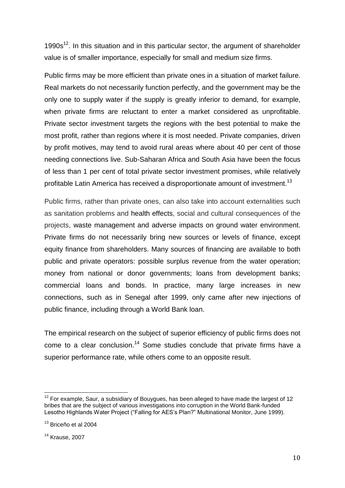1990s<sup>12</sup>. In this situation and in this particular sector, the argument of shareholder value is of smaller importance, especially for small and medium size firms.

Public firms may be more efficient than private ones in a situation of market failure. Real markets do not necessarily function perfectly, and the government may be the only one to supply water if the supply is greatly inferior to demand, for example, when private firms are reluctant to enter a market considered as unprofitable. Private sector investment targets the regions with the best potential to make the most profit, rather than regions where it is most needed. Private companies, driven by profit motives, may tend to avoid rural areas where about 40 per cent of those needing connections live. Sub-Saharan Africa and South Asia have been the focus of less than 1 per cent of total private sector investment promises, while relatively profitable Latin America has received a disproportionate amount of investment.<sup>13</sup>

Public firms, rather than private ones, can also take into account externalities such as sanitation problems and health effects, social and cultural consequences of the projects, waste management and adverse impacts on ground water environment. Private firms do not necessarily bring new sources or levels of finance, except equity finance from shareholders. Many sources of financing are available to both public and private operators: possible surplus revenue from the water operation; money from national or donor governments; loans from development banks; commercial loans and bonds. In practice, many large increases in new connections, such as in Senegal after 1999, only came after new injections of public finance, including through a World Bank loan.

The empirical research on the subject of superior efficiency of public firms does not come to a clear conclusion.<sup>14</sup> Some studies conclude that private firms have a superior performance rate, while others come to an opposite result.

 $\overline{\phantom{a}}$ 

 $12$  For example, Saur, a subsidiary of Bouygues, has been alleged to have made the largest of 12 bribes that are the subject of various investigations into corruption in the World Bank-funded Lesotho Highlands Water Project ("Falling for AES"s Plan?" Multinational Monitor, June 1999).

<sup>13</sup> Briceño et al 2004

<sup>14</sup> Krause, 2007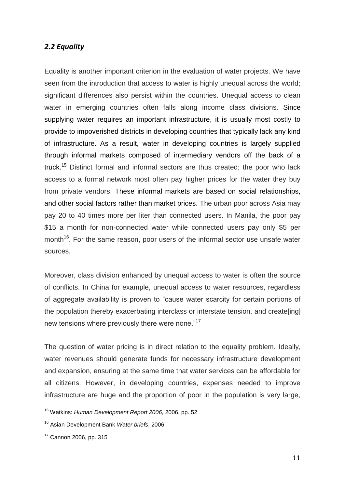### *2.2 Equality*

Equality is another important criterion in the evaluation of water projects. We have seen from the introduction that access to water is highly unequal across the world; significant differences also persist within the countries. Unequal access to clean water in emerging countries often falls along income class divisions. Since supplying water requires an important infrastructure, it is usually most costly to provide to impoverished districts in developing countries that typically lack any kind of infrastructure. As a result, water in developing countries is largely supplied through informal markets composed of intermediary vendors off the back of a truck.<sup>15</sup> Distinct formal and informal sectors are thus created; the poor who lack access to a formal network most often pay higher prices for the water they buy from private vendors. These informal markets are based on social relationships, and other social factors rather than market prices. The urban poor across Asia may pay 20 to 40 times more per liter than connected users. In Manila, the poor pay \$15 a month for non-connected water while connected users pay only \$5 per month<sup>16</sup>. For the same reason, poor users of the informal sector use unsafe water sources.

Moreover, class division enhanced by unequal access to water is often the source of conflicts. In China for example, unequal access to water resources, regardless of aggregate availability is proven to "cause water scarcity for certain portions of the population thereby exacerbating interclass or interstate tension, and create[ing] new tensions where previously there were none."<sup>17</sup>

The question of water pricing is in direct relation to the equality problem. Ideally, water revenues should generate funds for necessary infrastructure development and expansion, ensuring at the same time that water services can be affordable for all citizens. However, in developing countries, expenses needed to improve infrastructure are huge and the proportion of poor in the population is very large,

 $\overline{\phantom{a}}$ <sup>15</sup> Watkins: *Human Development Report 2006,* 2006, pp. 52

<sup>16</sup> Asian Development Bank *Water briefs*, 2006

<sup>17</sup> Cannon 2006, pp. 315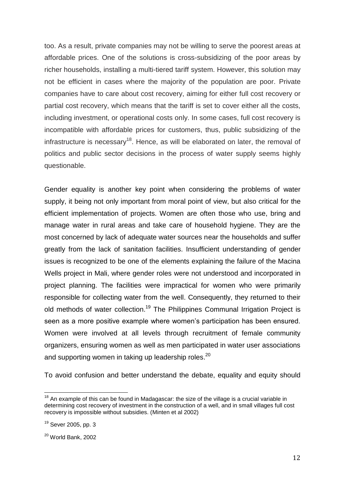too. As a result, private companies may not be willing to serve the poorest areas at affordable prices. One of the solutions is cross-subsidizing of the poor areas by richer households, installing a multi-tiered tariff system. However, this solution may not be efficient in cases where the majority of the population are poor. Private companies have to care about cost recovery, aiming for either full cost recovery or partial cost recovery, which means that the tariff is set to cover either all the costs, including investment, or operational costs only. In some cases, full cost recovery is incompatible with affordable prices for customers, thus, public subsidizing of the infrastructure is necessary<sup>18</sup>. Hence, as will be elaborated on later, the removal of politics and public sector decisions in the process of water supply seems highly questionable.

Gender equality is another key point when considering the problems of water supply, it being not only important from moral point of view, but also critical for the efficient implementation of projects. Women are often those who use, bring and manage water in rural areas and take care of household hygiene. They are the most concerned by lack of adequate water sources near the households and suffer greatly from the lack of sanitation facilities. Insufficient understanding of gender issues is recognized to be one of the elements explaining the failure of the Macina Wells project in Mali, where gender roles were not understood and incorporated in project planning. The facilities were impractical for women who were primarily responsible for collecting water from the well. Consequently, they returned to their old methods of water collection.<sup>19</sup> The Philippines Communal Irrigation Project is seen as a more positive example where women's participation has been ensured. Women were involved at all levels through recruitment of female community organizers, ensuring women as well as men participated in water user associations and supporting women in taking up leadership roles. $^{20}$ 

To avoid confusion and better understand the debate, equality and equity should

 $\overline{\phantom{a}}$ 

 $18$  An example of this can be found in Madagascar: the size of the village is a crucial variable in determining cost recovery of investment in the construction of a well, and in small villages full cost recovery is impossible without subsidies. (Minten et al 2002)

 $19$  Sever 2005, pp. 3

<sup>20</sup> World Bank, 2002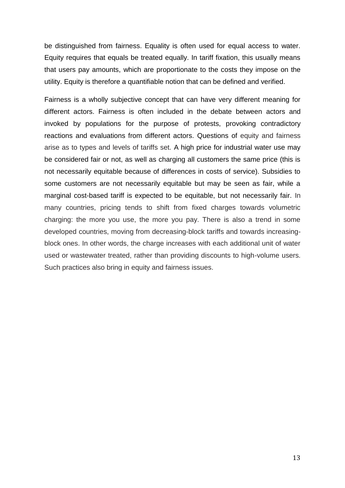be distinguished from fairness. Equality is often used for equal access to water. Equity requires that equals be treated equally. In tariff fixation, this usually means that users pay amounts, which are proportionate to the costs they impose on the utility. Equity is therefore a quantifiable notion that can be defined and verified.

Fairness is a wholly subjective concept that can have very different meaning for different actors. Fairness is often included in the debate between actors and invoked by populations for the purpose of protests, provoking contradictory reactions and evaluations from different actors. Questions of equity and fairness arise as to types and levels of tariffs set. A high price for industrial water use may be considered fair or not, as well as charging all customers the same price (this is not necessarily equitable because of differences in costs of service). Subsidies to some customers are not necessarily equitable but may be seen as fair, while a marginal cost-based tariff is expected to be equitable, but not necessarily fair. In many countries, pricing tends to shift from fixed charges towards volumetric charging: the more you use, the more you pay. There is also a trend in some developed countries, moving from decreasing-block tariffs and towards increasingblock ones. In other words, the charge increases with each additional unit of water used or wastewater treated, rather than providing discounts to high-volume users. Such practices also bring in equity and fairness issues.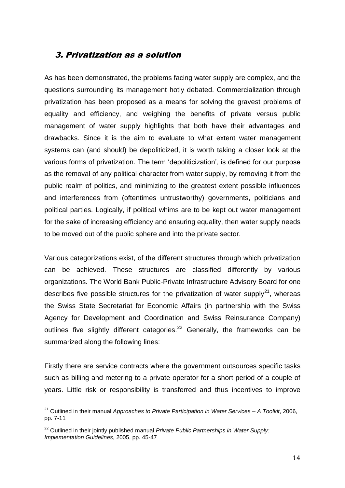### 3. Privatization as a solution

As has been demonstrated, the problems facing water supply are complex, and the questions surrounding its management hotly debated. Commercialization through privatization has been proposed as a means for solving the gravest problems of equality and efficiency, and weighing the benefits of private versus public management of water supply highlights that both have their advantages and drawbacks. Since it is the aim to evaluate to what extent water management systems can (and should) be depoliticized, it is worth taking a closer look at the various forms of privatization. The term "depoliticization", is defined for our purpose as the removal of any political character from water supply, by removing it from the public realm of politics, and minimizing to the greatest extent possible influences and interferences from (oftentimes untrustworthy) governments, politicians and political parties. Logically, if political whims are to be kept out water management for the sake of increasing efficiency and ensuring equality, then water supply needs to be moved out of the public sphere and into the private sector.

Various categorizations exist, of the different structures through which privatization can be achieved. These structures are classified differently by various organizations. The World Bank Public-Private Infrastructure Advisory Board for one describes five possible structures for the privatization of water supply<sup>21</sup>, whereas the Swiss State Secretariat for Economic Affairs (in partnership with the Swiss Agency for Development and Coordination and Swiss Reinsurance Company) outlines five slightly different categories.<sup>22</sup> Generally, the frameworks can be summarized along the following lines:

Firstly there are service contracts where the government outsources specific tasks such as billing and metering to a private operator for a short period of a couple of years. Little risk or responsibility is transferred and thus incentives to improve

 $\overline{\phantom{a}}$ <sup>21</sup> Outlined in their manual *Approaches to Private Participation in Water Services – A Toolkit*, 2006, pp. 7-11

<sup>&</sup>lt;sup>22</sup> Outlined in their jointly published manual *Private Public Partnerships in Water Supply: Implementation Guidelines*, 2005, pp. 45-47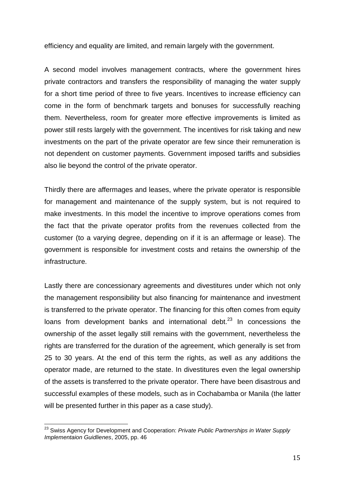efficiency and equality are limited, and remain largely with the government.

A second model involves management contracts, where the government hires private contractors and transfers the responsibility of managing the water supply for a short time period of three to five years. Incentives to increase efficiency can come in the form of benchmark targets and bonuses for successfully reaching them. Nevertheless, room for greater more effective improvements is limited as power still rests largely with the government. The incentives for risk taking and new investments on the part of the private operator are few since their remuneration is not dependent on customer payments. Government imposed tariffs and subsidies also lie beyond the control of the private operator.

Thirdly there are affermages and leases, where the private operator is responsible for management and maintenance of the supply system, but is not required to make investments. In this model the incentive to improve operations comes from the fact that the private operator profits from the revenues collected from the customer (to a varying degree, depending on if it is an affermage or lease). The government is responsible for investment costs and retains the ownership of the infrastructure.

Lastly there are concessionary agreements and divestitures under which not only the management responsibility but also financing for maintenance and investment is transferred to the private operator. The financing for this often comes from equity loans from development banks and international debt. $^{23}$  In concessions the ownership of the asset legally still remains with the government, nevertheless the rights are transferred for the duration of the agreement, which generally is set from 25 to 30 years. At the end of this term the rights, as well as any additions the operator made, are returned to the state. In divestitures even the legal ownership of the assets is transferred to the private operator. There have been disastrous and successful examples of these models, such as in Cochabamba or Manila (the latter will be presented further in this paper as a case study).

 $\overline{\phantom{a}}$ <sup>23</sup> Swiss Agency for Development and Cooperation: *Private Public Partnerships in Water Supply Implementaion Guidlienes*, 2005, pp. 46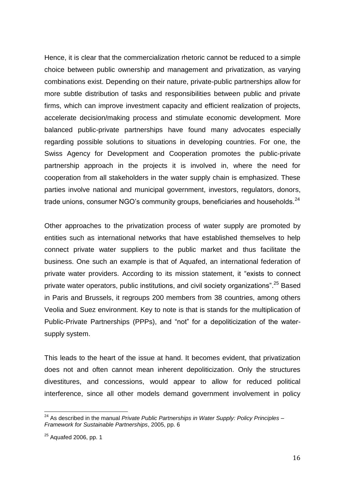Hence, it is clear that the commercialization rhetoric cannot be reduced to a simple choice between public ownership and management and privatization, as varying combinations exist. Depending on their nature, private-public partnerships allow for more subtle distribution of tasks and responsibilities between public and private firms, which can improve investment capacity and efficient realization of projects, accelerate decision/making process and stimulate economic development. More balanced public-private partnerships have found many advocates especially regarding possible solutions to situations in developing countries. For one, the Swiss Agency for Development and Cooperation promotes the public-private partnership approach in the projects it is involved in, where the need for cooperation from all stakeholders in the water supply chain is emphasized. These parties involve national and municipal government, investors, regulators, donors, trade unions, consumer NGO's community groups, beneficiaries and households.<sup>24</sup>

Other approaches to the privatization process of water supply are promoted by entities such as international networks that have established themselves to help connect private water suppliers to the public market and thus facilitate the business. One such an example is that of Aquafed, an international federation of private water providers. According to its mission statement, it "exists to connect private water operators, public institutions, and civil society organizations".<sup>25</sup> Based in Paris and Brussels, it regroups 200 members from 38 countries, among others Veolia and Suez environment. Key to note is that is stands for the multiplication of Public-Private Partnerships (PPPs), and "not" for a depoliticization of the watersupply system.

This leads to the heart of the issue at hand. It becomes evident, that privatization does not and often cannot mean inherent depoliticization. Only the structures divestitures, and concessions, would appear to allow for reduced political interference, since all other models demand government involvement in policy

<sup>&</sup>lt;sup>24</sup> As described in the manual *Private Public Partnerships in Water Supply: Policy Principles – Framework for Sustainable Partnerships*, 2005, pp. 6

 $25$  Aquafed 2006, pp. 1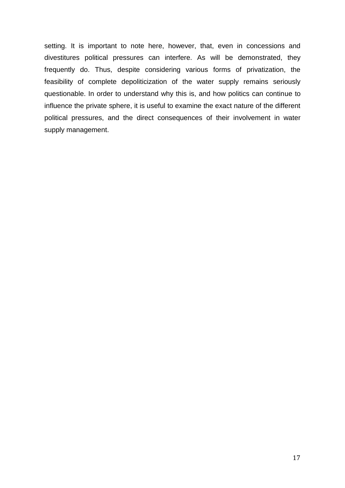setting. It is important to note here, however, that, even in concessions and divestitures political pressures can interfere. As will be demonstrated, they frequently do. Thus, despite considering various forms of privatization, the feasibility of complete depoliticization of the water supply remains seriously questionable. In order to understand why this is, and how politics can continue to influence the private sphere, it is useful to examine the exact nature of the different political pressures, and the direct consequences of their involvement in water supply management.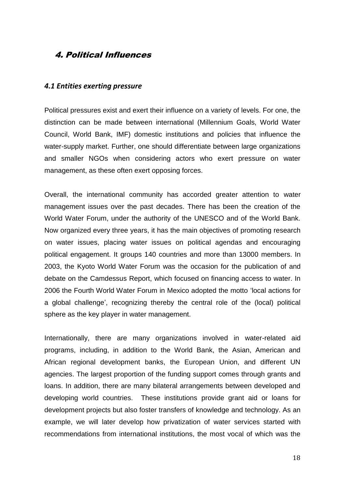# 4. Political Influences

#### *4.1 Entities exerting pressure*

Political pressures exist and exert their influence on a variety of levels. For one, the distinction can be made between international (Millennium Goals, World Water Council, World Bank, IMF) domestic institutions and policies that influence the water-supply market. Further, one should differentiate between large organizations and smaller NGOs when considering actors who exert pressure on water management, as these often exert opposing forces.

Overall, the international community has accorded greater attention to water management issues over the past decades. There has been the creation of the World Water Forum, under the authority of the UNESCO and of the World Bank. Now organized every three years, it has the main objectives of promoting research on water issues, placing water issues on political agendas and encouraging political engagement. It groups 140 countries and more than 13000 members. In 2003, the Kyoto World Water Forum was the occasion for the publication of and debate on the Camdessus Report, which focused on financing access to water. In 2006 the Fourth World Water Forum in Mexico adopted the motto "local actions for a global challenge", recognizing thereby the central role of the (local) political sphere as the key player in water management.

Internationally, there are many organizations involved in water-related aid programs, including, in addition to the World Bank, the Asian, American and African regional development banks, the European Union, and different UN agencies. The largest proportion of the funding support comes through grants and loans. In addition, there are many bilateral arrangements between developed and developing world countries. These institutions provide grant aid or loans for development projects but also foster transfers of knowledge and technology. As an example, we will later develop how privatization of water services started with recommendations from international institutions, the most vocal of which was the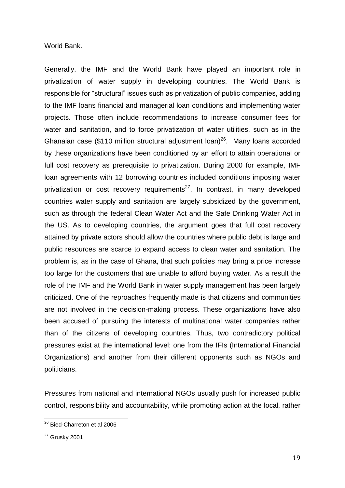World Bank.

Generally, the IMF and the World Bank have played an important role in privatization of water supply in developing countries. The World Bank is responsible for "structural" issues such as privatization of public companies, adding to the IMF loans financial and managerial loan conditions and implementing water projects. Those often include recommendations to increase consumer fees for water and sanitation, and to force privatization of water utilities, such as in the Ghanaian case (\$110 million structural adjustment loan)<sup>26</sup>. Many loans accorded by these organizations have been conditioned by an effort to attain operational or full cost recovery as prerequisite to privatization. During 2000 for example, IMF loan agreements with 12 borrowing countries included conditions imposing water privatization or cost recovery requirements<sup>27</sup>. In contrast, in many developed countries water supply and sanitation are largely subsidized by the government, such as through the federal Clean Water Act and the Safe Drinking Water Act in the US. As to developing countries, the argument goes that full cost recovery attained by private actors should allow the countries where public debt is large and public resources are scarce to expand access to clean water and sanitation. The problem is, as in the case of Ghana, that such policies may bring a price increase too large for the customers that are unable to afford buying water. As a result the role of the IMF and the World Bank in water supply management has been largely criticized. One of the reproaches frequently made is that citizens and communities are not involved in the decision-making process. These organizations have also been accused of pursuing the interests of multinational water companies rather than of the citizens of developing countries. Thus, two contradictory political pressures exist at the international level: one from the IFIs (International Financial Organizations) and another from their different opponents such as NGOs and politicians.

Pressures from national and international NGOs usually push for increased public control, responsibility and accountability, while promoting action at the local, rather

<sup>&</sup>lt;sup>26</sup> Bied-Charreton et al 2006

 $27$  Grusky 2001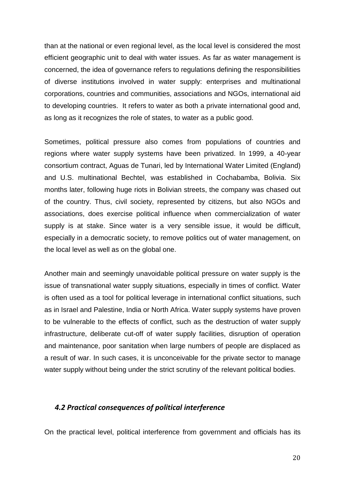than at the national or even regional level, as the local level is considered the most efficient geographic unit to deal with water issues. As far as water management is concerned, the idea of governance refers to regulations defining the responsibilities of diverse institutions involved in water supply: enterprises and multinational corporations, countries and communities, associations and NGOs, international aid to developing countries. It refers to water as both a private international good and, as long as it recognizes the role of states, to water as a public good.

Sometimes, political pressure also comes from populations of countries and regions where water supply systems have been privatized. In 1999, a 40-year consortium contract, Aguas de Tunari, led by International Water Limited (England) and U.S. multinational Bechtel, was established in Cochabamba, Bolivia. Six months later, following huge riots in Bolivian streets, the company was chased out of the country. Thus, civil society, represented by citizens, but also NGOs and associations, does exercise political influence when commercialization of water supply is at stake. Since water is a very sensible issue, it would be difficult, especially in a democratic society, to remove politics out of water management, on the local level as well as on the global one.

Another main and seemingly unavoidable political pressure on water supply is the issue of transnational water supply situations, especially in times of conflict. Water is often used as a tool for political leverage in international conflict situations, such as in Israel and Palestine, India or North Africa. Water supply systems have proven to be vulnerable to the effects of conflict, such as the destruction of water supply infrastructure, deliberate cut-off of water supply facilities, disruption of operation and maintenance, poor sanitation when large numbers of people are displaced as a result of war. In such cases, it is unconceivable for the private sector to manage water supply without being under the strict scrutiny of the relevant political bodies.

#### *4.2 Practical consequences of political interference*

On the practical level, political interference from government and officials has its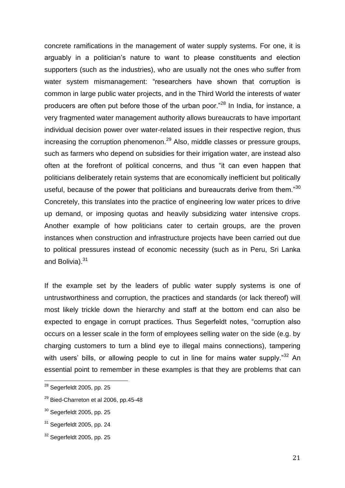concrete ramifications in the management of water supply systems. For one, it is arguably in a politician"s nature to want to please constituents and election supporters (such as the industries), who are usually not the ones who suffer from water system mismanagement: "researchers have shown that corruption is common in large public water projects, and in the Third World the interests of water producers are often put before those of the urban poor."<sup>28</sup> In India, for instance, a very fragmented water management authority allows bureaucrats to have important individual decision power over water-related issues in their respective region, thus increasing the corruption phenomenon.<sup>29</sup> Also, middle classes or pressure groups, such as farmers who depend on subsidies for their irrigation water, are instead also often at the forefront of political concerns, and thus "it can even happen that politicians deliberately retain systems that are economically inefficient but politically useful, because of the power that politicians and bureaucrats derive from them."<sup>30</sup> Concretely, this translates into the practice of engineering low water prices to drive up demand, or imposing quotas and heavily subsidizing water intensive crops. Another example of how politicians cater to certain groups, are the proven instances when construction and infrastructure projects have been carried out due to political pressures instead of economic necessity (such as in Peru, Sri Lanka and Bolivia). $31$ 

If the example set by the leaders of public water supply systems is one of untrustworthiness and corruption, the practices and standards (or lack thereof) will most likely trickle down the hierarchy and staff at the bottom end can also be expected to engage in corrupt practices. Thus Segerfeldt notes, "corruption also occurs on a lesser scale in the form of employees selling water on the side (e.g. by charging customers to turn a blind eye to illegal mains connections), tampering with users' bills, or allowing people to cut in line for mains water supply."<sup>32</sup> An essential point to remember in these examples is that they are problems that can

 $^{28}$  Segerfeldt 2005, pp. 25

 $29$  Bied-Charreton et al 2006, pp.45-48

 $30$  Segerfeldt 2005, pp. 25

 $31$  Segerfeldt 2005, pp. 24

 $32$  Segerfeldt 2005, pp. 25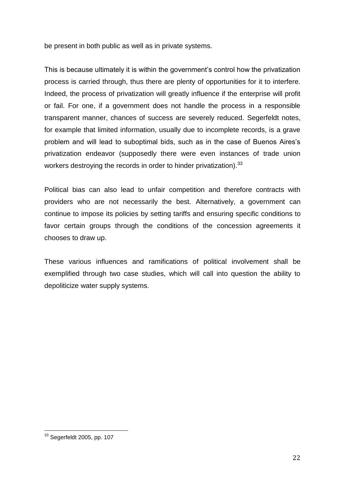be present in both public as well as in private systems.

This is because ultimately it is within the government"s control how the privatization process is carried through, thus there are plenty of opportunities for it to interfere. Indeed, the process of privatization will greatly influence if the enterprise will profit or fail. For one, if a government does not handle the process in a responsible transparent manner, chances of success are severely reduced. Segerfeldt notes, for example that limited information, usually due to incomplete records, is a grave problem and will lead to suboptimal bids, such as in the case of Buenos Aires"s privatization endeavor (supposedly there were even instances of trade union workers destroying the records in order to hinder privatization).<sup>33</sup>

Political bias can also lead to unfair competition and therefore contracts with providers who are not necessarily the best. Alternatively, a government can continue to impose its policies by setting tariffs and ensuring specific conditions to favor certain groups through the conditions of the concession agreements it chooses to draw up.

These various influences and ramifications of political involvement shall be exemplified through two case studies, which will call into question the ability to depoliticize water supply systems.

 $^{33}$  Segerfeldt 2005, pp. 107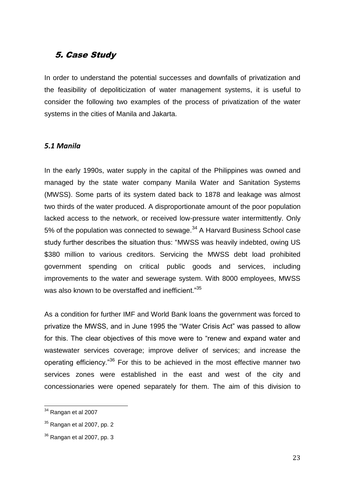## 5. Case Study

In order to understand the potential successes and downfalls of privatization and the feasibility of depoliticization of water management systems, it is useful to consider the following two examples of the process of privatization of the water systems in the cities of Manila and Jakarta.

#### *5.1 Manila*

In the early 1990s, water supply in the capital of the Philippines was owned and managed by the state water company Manila Water and Sanitation Systems (MWSS). Some parts of its system dated back to 1878 and leakage was almost two thirds of the water produced. A disproportionate amount of the poor population lacked access to the network, or received low-pressure water intermittently. Only 5% of the population was connected to sewage.<sup>34</sup> A Harvard Business School case study further describes the situation thus: "MWSS was heavily indebted, owing US \$380 million to various creditors. Servicing the MWSS debt load prohibited government spending on critical public goods and services, including improvements to the water and sewerage system. With 8000 employees, MWSS was also known to be overstaffed and inefficient."<sup>35</sup>

As a condition for further IMF and World Bank loans the government was forced to privatize the MWSS, and in June 1995 the "Water Crisis Act" was passed to allow for this. The clear objectives of this move were to "renew and expand water and wastewater services coverage; improve deliver of services; and increase the operating efficiency."<sup>36</sup> For this to be achieved in the most effective manner two services zones were established in the east and west of the city and concessionaries were opened separately for them. The aim of this division to

 $34$  Rangan et al 2007

 $35$  Rangan et al 2007, pp. 2

 $36$  Rangan et al 2007, pp. 3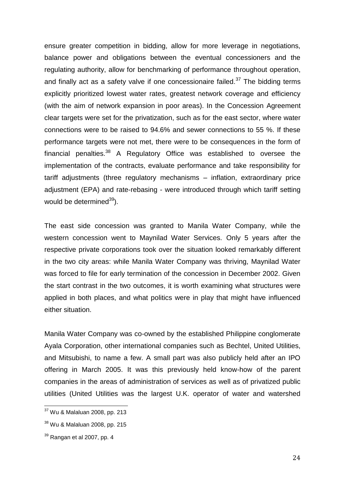ensure greater competition in bidding, allow for more leverage in negotiations, balance power and obligations between the eventual concessioners and the regulating authority, allow for benchmarking of performance throughout operation, and finally act as a safety valve if one concessionaire failed.<sup>37</sup> The bidding terms explicitly prioritized lowest water rates, greatest network coverage and efficiency (with the aim of network expansion in poor areas). In the Concession Agreement clear targets were set for the privatization, such as for the east sector, where water connections were to be raised to 94.6% and sewer connections to 55 %. If these performance targets were not met, there were to be consequences in the form of financial penalties. $38$  A Regulatory Office was established to oversee the implementation of the contracts, evaluate performance and take responsibility for tariff adjustments (three regulatory mechanisms – inflation, extraordinary price adjustment (EPA) and rate-rebasing - were introduced through which tariff setting would be determined $39$ ).

The east side concession was granted to Manila Water Company, while the western concession went to Maynilad Water Services. Only 5 years after the respective private corporations took over the situation looked remarkably different in the two city areas: while Manila Water Company was thriving, Maynilad Water was forced to file for early termination of the concession in December 2002. Given the start contrast in the two outcomes, it is worth examining what structures were applied in both places, and what politics were in play that might have influenced either situation.

Manila Water Company was co-owned by the established Philippine conglomerate Ayala Corporation, other international companies such as Bechtel, United Utilities, and Mitsubishi, to name a few. A small part was also publicly held after an IPO offering in March 2005. It was this previously held know-how of the parent companies in the areas of administration of services as well as of privatized public utilities (United Utilities was the largest U.K. operator of water and watershed

<sup>&</sup>lt;sup>37</sup> Wu & Malaluan 2008, pp. 213

<sup>38</sup> Wu & Malaluan 2008, pp. 215

 $39$  Rangan et al 2007, pp. 4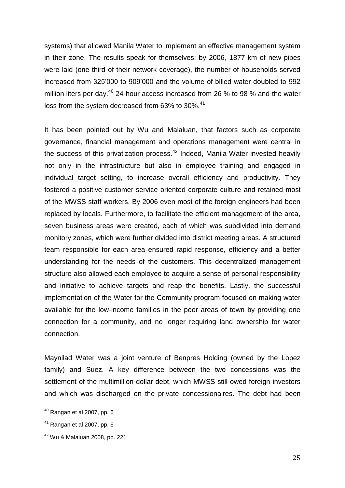systems) that allowed Manila Water to implement an effective management system in their zone. The results speak for themselves: by 2006, 1877 km of new pipes were laid (one third of their network coverage), the number of households served increased from 325"000 to 909"000 and the volume of billed water doubled to 992 million liters per day.<sup>40</sup> 24-hour access increased from 26  $\%$  to 98  $\%$  and the water loss from the system decreased from 63% to 30%.<sup>41</sup>

It has been pointed out by Wu and Malaluan, that factors such as corporate governance, financial management and operations management were central in the success of this privatization process. $42$  Indeed, Manila Water invested heavily not only in the infrastructure but also in employee training and engaged in individual target setting, to increase overall efficiency and productivity. They fostered a positive customer service oriented corporate culture and retained most of the MWSS staff workers. By 2006 even most of the foreign engineers had been replaced by locals. Furthermore, to facilitate the efficient management of the area, seven business areas were created, each of which was subdivided into demand monitory zones, which were further divided into district meeting areas. A structured team responsible for each area ensured rapid response, efficiency and a better understanding for the needs of the customers. This decentralized management structure also allowed each employee to acquire a sense of personal responsibility and initiative to achieve targets and reap the benefits. Lastly, the successful implementation of the Water for the Community program focused on making water available for the low-income families in the poor areas of town by providing one connection for a community, and no longer requiring land ownership for water connection.

Maynilad Water was a joint venture of Benpres Holding (owned by the Lopez family) and Suez. A key difference between the two concessions was the settlement of the multimillion-dollar debt, which MWSS still owed foreign investors and which was discharged on the private concessionaires. The debt had been

 $^{40}$  Rangan et al 2007, pp. 6

 $41$  Rangan et al 2007, pp. 6

 $42$  Wu & Malaluan 2008, pp. 221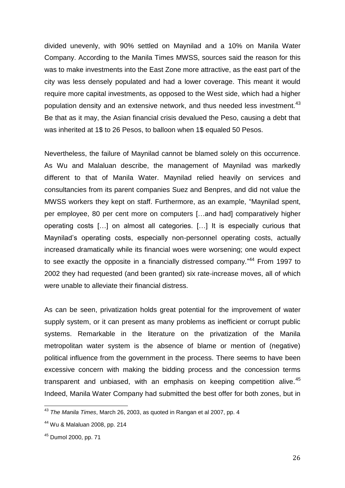divided unevenly, with 90% settled on Maynilad and a 10% on Manila Water Company. According to the Manila Times MWSS, sources said the reason for this was to make investments into the East Zone more attractive, as the east part of the city was less densely populated and had a lower coverage. This meant it would require more capital investments, as opposed to the West side, which had a higher population density and an extensive network, and thus needed less investment.<sup>43</sup> Be that as it may, the Asian financial crisis devalued the Peso, causing a debt that was inherited at 1\$ to 26 Pesos, to balloon when 1\$ equaled 50 Pesos.

Nevertheless, the failure of Maynilad cannot be blamed solely on this occurrence. As Wu and Malaluan describe, the management of Maynilad was markedly different to that of Manila Water. Maynilad relied heavily on services and consultancies from its parent companies Suez and Benpres, and did not value the MWSS workers they kept on staff. Furthermore, as an example, "Maynilad spent, per employee, 80 per cent more on computers […and had] comparatively higher operating costs […] on almost all categories. […] It is especially curious that Maynilad"s operating costs, especially non-personnel operating costs, actually increased dramatically while its financial woes were worsening; one would expect to see exactly the opposite in a financially distressed company."<sup>44</sup> From 1997 to 2002 they had requested (and been granted) six rate-increase moves, all of which were unable to alleviate their financial distress.

As can be seen, privatization holds great potential for the improvement of water supply system, or it can present as many problems as inefficient or corrupt public systems. Remarkable in the literature on the privatization of the Manila metropolitan water system is the absence of blame or mention of (negative) political influence from the government in the process. There seems to have been excessive concern with making the bidding process and the concession terms transparent and unbiased, with an emphasis on keeping competition alive.<sup>45</sup> Indeed, Manila Water Company had submitted the best offer for both zones, but in

 $\overline{\phantom{a}}$ 

<sup>43</sup> *The Manila Times*, March 26, 2003, as quoted in Rangan et al 2007, pp. 4

<sup>44</sup> Wu & Malaluan 2008, pp. 214

<sup>45</sup> Dumol 2000, pp. 71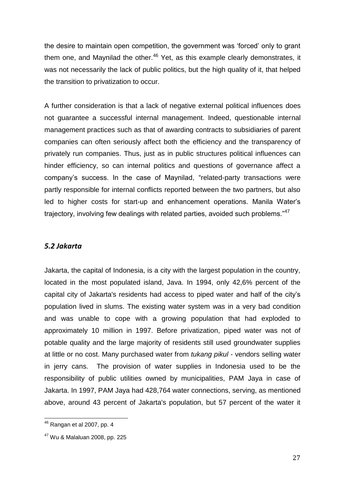the desire to maintain open competition, the government was "forced" only to grant them one, and Maynilad the other. $46$  Yet, as this example clearly demonstrates, it was not necessarily the lack of public politics, but the high quality of it, that helped the transition to privatization to occur.

A further consideration is that a lack of negative external political influences does not guarantee a successful internal management. Indeed, questionable internal management practices such as that of awarding contracts to subsidiaries of parent companies can often seriously affect both the efficiency and the transparency of privately run companies. Thus, just as in public structures political influences can hinder efficiency, so can internal politics and questions of governance affect a company"s success. In the case of Maynilad, "related-party transactions were partly responsible for internal conflicts reported between the two partners, but also led to higher costs for start-up and enhancement operations. Manila Water"s trajectory, involving few dealings with related parties, avoided such problems."<sup>47</sup>

#### *5.2 Jakarta*

Jakarta, the capital of Indonesia, is a city with the largest population in the country, located in the most populated island, Java. In 1994, only 42,6% percent of the capital city of Jakarta's residents had access to piped water and half of the city"s population lived in slums. The existing water system was in a very bad condition and was unable to cope with a growing population that had exploded to approximately 10 million in 1997. Before privatization, piped water was not of potable quality and the large majority of residents still used groundwater supplies at little or no cost. Many purchased water from *tukang pikul* - vendors selling water in jerry cans. The provision of water supplies in Indonesia used to be the responsibility of public utilities owned by municipalities, PAM Jaya in case of Jakarta. In 1997, PAM Jaya had 428,764 water connections, serving, as mentioned above, around 43 percent of Jakarta's population, but 57 percent of the water it

 $^{46}$  Rangan et al 2007, pp. 4

<sup>47</sup> Wu & Malaluan 2008, pp. 225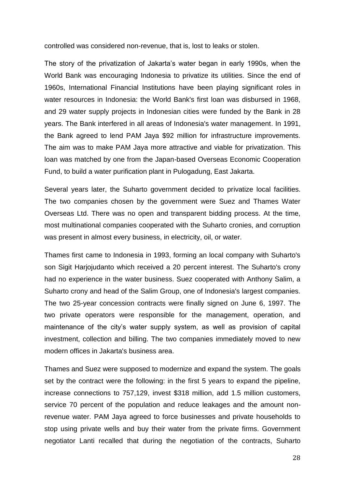controlled was considered non-revenue, that is, lost to leaks or stolen.

The story of the privatization of Jakarta"s water began in early 1990s, when the World Bank was encouraging Indonesia to privatize its utilities. Since the end of 1960s, International Financial Institutions have been playing significant roles in water resources in Indonesia: the World Bank's first loan was disbursed in 1968, and 29 water supply projects in Indonesian cities were funded by the Bank in 28 years. The Bank interfered in all areas of Indonesia's water management. In 1991, the Bank agreed to lend PAM Jaya \$92 million for infrastructure improvements. The aim was to make PAM Jaya more attractive and viable for privatization. This loan was matched by one from the Japan-based Overseas Economic Cooperation Fund, to build a water purification plant in Pulogadung, East Jakarta.

Several years later, the Suharto government decided to privatize local facilities. The two companies chosen by the government were Suez and Thames Water Overseas Ltd. There was no open and transparent bidding process. At the time, most multinational companies cooperated with the Suharto cronies, and corruption was present in almost every business, in electricity, oil, or water.

Thames first came to Indonesia in 1993, forming an local company with Suharto's son Sigit Harjojudanto which received a 20 percent interest. The Suharto's crony had no experience in the water business. Suez cooperated with Anthony Salim, a Suharto crony and head of the Salim Group, one of Indonesia's largest companies. The two 25-year concession contracts were finally signed on June 6, 1997. The two private operators were responsible for the management, operation, and maintenance of the city's water supply system, as well as provision of capital investment, collection and billing. The two companies immediately moved to new modern offices in Jakarta's business area.

Thames and Suez were supposed to modernize and expand the system. The goals set by the contract were the following: in the first 5 years to expand the pipeline, increase connections to 757,129, invest \$318 million, add 1.5 million customers, service 70 percent of the population and reduce leakages and the amount nonrevenue water. PAM Jaya agreed to force businesses and private households to stop using private wells and buy their water from the private firms. Government negotiator Lanti recalled that during the negotiation of the contracts, Suharto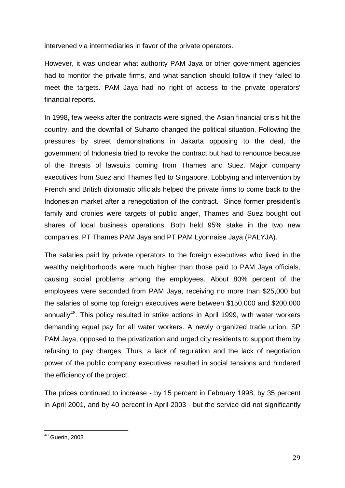intervened via intermediaries in favor of the private operators.

However, it was unclear what authority PAM Jaya or other government agencies had to monitor the private firms, and what sanction should follow if they failed to meet the targets. PAM Jaya had no right of access to the private operators' financial reports.

In 1998, few weeks after the contracts were signed, the Asian financial crisis hit the country, and the downfall of Suharto changed the political situation. Following the pressures by street demonstrations in Jakarta opposing to the deal, the government of Indonesia tried to revoke the contract but had to renounce because of the threats of lawsuits coming from Thames and Suez. Major company executives from Suez and Thames fled to Singapore. Lobbying and intervention by French and British diplomatic officials helped the private firms to come back to the Indonesian market after a renegotiation of the contract. Since former president's family and cronies were targets of public anger, Thames and Suez bought out shares of local business operations. Both held 95% stake in the two new companies, PT Thames PAM Jaya and PT PAM Lyonnaise Jaya (PALYJA).

The salaries paid by private operators to the foreign executives who lived in the wealthy neighborhoods were much higher than those paid to PAM Jaya officials, causing social problems among the employees. About 80% percent of the employees were seconded from PAM Jaya, receiving no more than \$25,000 but the salaries of some top foreign executives were between \$150,000 and \$200,000 annually<sup>48</sup>. This policy resulted in strike actions in April 1999, with water workers demanding equal pay for all water workers. A newly organized trade union, SP PAM Jaya, opposed to the privatization and urged city residents to support them by refusing to pay charges. Thus, a lack of regulation and the lack of negotiation power of the public company executives resulted in social tensions and hindered the efficiency of the project.

The prices continued to increase - by 15 percent in February 1998, by 35 percent in April 2001, and by 40 percent in April 2003 - but the service did not significantly

 $^{48}$  Guerin, 2003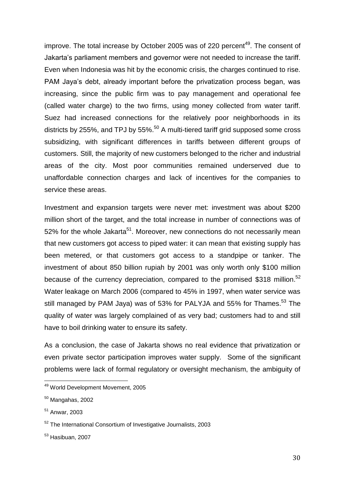improve. The total increase by October 2005 was of 220 percent<sup>49</sup>. The consent of Jakarta"s parliament members and governor were not needed to increase the tariff. Even when Indonesia was hit by the economic crisis, the charges continued to rise. PAM Jaya"s debt, already important before the privatization process began, was increasing, since the public firm was to pay management and operational fee (called water charge) to the two firms, using money collected from water tariff. Suez had increased connections for the relatively poor neighborhoods in its districts by 255%, and TPJ by 55%.<sup>50</sup> A multi-tiered tariff grid supposed some cross subsidizing, with significant differences in tariffs between different groups of customers. Still, the majority of new customers belonged to the richer and industrial areas of the city. Most poor communities remained underserved due to unaffordable connection charges and lack of incentives for the companies to service these areas.

Investment and expansion targets were never met: investment was about \$200 million short of the target, and the total increase in number of connections was of 52% for the whole Jakarta<sup>51</sup>. Moreover, new connections do not necessarily mean that new customers got access to piped water: it can mean that existing supply has been metered, or that customers got access to a standpipe or tanker. The investment of about 850 billion rupiah by 2001 was only worth only \$100 million because of the currency depreciation, compared to the promised \$318 million.<sup>52</sup> Water leakage on March 2006 (compared to 45% in 1997, when water service was still managed by PAM Jaya) was of 53% for PALYJA and 55% for Thames.<sup>53</sup> The quality of water was largely complained of as very bad; customers had to and still have to boil drinking water to ensure its safety.

As a conclusion, the case of Jakarta shows no real evidence that privatization or even private sector participation improves water supply. Some of the significant problems were lack of formal regulatory or oversight mechanism, the ambiguity of

<sup>&</sup>lt;sup>49</sup> World Development Movement, 2005

 $50$  Mangahas, 2002

<sup>51</sup> Anwar, 2003

<sup>52</sup> The International Consortium of Investigative Journalists, 2003

 $53$  Hasibuan, 2007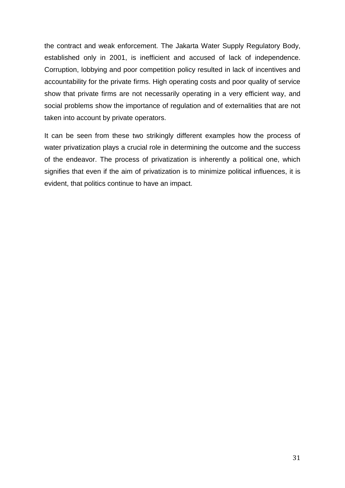the contract and weak enforcement. The Jakarta Water Supply Regulatory Body, established only in 2001, is inefficient and accused of lack of independence. Corruption, lobbying and poor competition policy resulted in lack of incentives and accountability for the private firms. High operating costs and poor quality of service show that private firms are not necessarily operating in a very efficient way, and social problems show the importance of regulation and of externalities that are not taken into account by private operators.

It can be seen from these two strikingly different examples how the process of water privatization plays a crucial role in determining the outcome and the success of the endeavor. The process of privatization is inherently a political one, which signifies that even if the aim of privatization is to minimize political influences, it is evident, that politics continue to have an impact.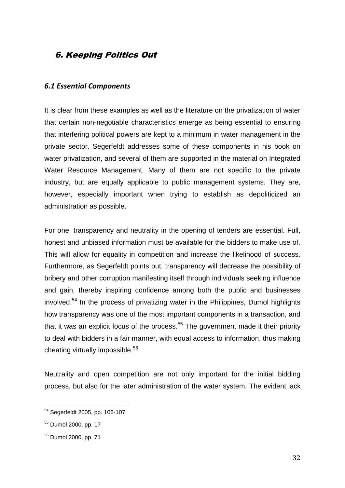# 6. Keeping Politics Out

#### *6.1 Essential Components*

It is clear from these examples as well as the literature on the privatization of water that certain non-negotiable characteristics emerge as being essential to ensuring that interfering political powers are kept to a minimum in water management in the private sector. Segerfeldt addresses some of these components in his book on water privatization, and several of them are supported in the material on Integrated Water Resource Management. Many of them are not specific to the private industry, but are equally applicable to public management systems. They are, however, especially important when trying to establish as depoliticized an administration as possible.

For one, transparency and neutrality in the opening of tenders are essential. Full, honest and unbiased information must be available for the bidders to make use of. This will allow for equality in competition and increase the likelihood of success. Furthermore, as Segerfeldt points out, transparency will decrease the possibility of bribery and other corruption manifesting itself through individuals seeking influence and gain, thereby inspiring confidence among both the public and businesses  $involved.<sup>54</sup>$  In the process of privatizing water in the Philippines, Dumol highlights how transparency was one of the most important components in a transaction, and that it was an explicit focus of the process.<sup>55</sup> The government made it their priority to deal with bidders in a fair manner, with equal access to information, thus making cheating virtually impossible.<sup>56</sup>

Neutrality and open competition are not only important for the initial bidding process, but also for the later administration of the water system. The evident lack

 $\overline{a}$ <sup>54</sup> Segerfeldt 2005, pp. 106-107

<sup>55</sup> Dumol 2000, pp. 17

<sup>56</sup> Dumol 2000, pp. 71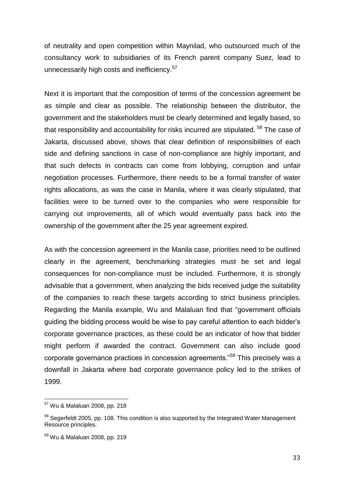of neutrality and open competition within Maynilad, who outsourced much of the consultancy work to subsidiaries of its French parent company Suez, lead to unnecessarily high costs and inefficiency.<sup>57</sup>

Next it is important that the composition of terms of the concession agreement be as simple and clear as possible. The relationship between the distributor, the government and the stakeholders must be clearly determined and legally based, so that responsibility and accountability for risks incurred are stipulated.<sup>58</sup> The case of Jakarta, discussed above, shows that clear definition of responsibilities of each side and defining sanctions in case of non-compliance are highly important, and that such defects in contracts can come from lobbying, corruption and unfair negotiation processes. Furthermore, there needs to be a formal transfer of water rights allocations, as was the case in Manila, where it was clearly stipulated, that facilities were to be turned over to the companies who were responsible for carrying out improvements, all of which would eventually pass back into the ownership of the government after the 25 year agreement expired.

As with the concession agreement in the Manila case, priorities need to be outlined clearly in the agreement, benchmarking strategies must be set and legal consequences for non-compliance must be included. Furthermore, it is strongly advisable that a government, when analyzing the bids received judge the suitability of the companies to reach these targets according to strict business principles. Regarding the Manila example, Wu and Malaluan find that "government officials guiding the bidding process would be wise to pay careful attention to each bidder"s corporate governance practices, as these could be an indicator of how that bidder might perform if awarded the contract. Government can also include good corporate governance practices in concession agreements."<sup>59</sup> This precisely was a downfall in Jakarta where bad corporate governance policy led to the strikes of 1999.

<sup>&</sup>lt;sup>57</sup> Wu & Malaluan 2008, pp. 218

<sup>&</sup>lt;sup>58</sup> Segerfeldt 2005, pp. 108. This condition is also supported by the Integrated Water Management Resource principles.

<sup>59</sup> Wu & Malaluan 2008, pp. 219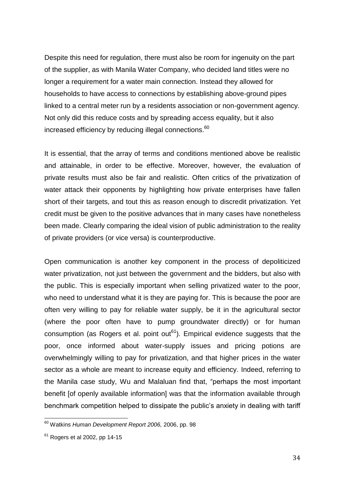Despite this need for regulation, there must also be room for ingenuity on the part of the supplier, as with Manila Water Company, who decided land titles were no longer a requirement for a water main connection. Instead they allowed for households to have access to connections by establishing above-ground pipes linked to a central meter run by a residents association or non-government agency. Not only did this reduce costs and by spreading access equality, but it also increased efficiency by reducing illegal connections. 60

It is essential, that the array of terms and conditions mentioned above be realistic and attainable, in order to be effective. Moreover, however, the evaluation of private results must also be fair and realistic. Often critics of the privatization of water attack their opponents by highlighting how private enterprises have fallen short of their targets, and tout this as reason enough to discredit privatization. Yet credit must be given to the positive advances that in many cases have nonetheless been made. Clearly comparing the ideal vision of public administration to the reality of private providers (or vice versa) is counterproductive.

Open communication is another key component in the process of depoliticized water privatization, not just between the government and the bidders, but also with the public. This is especially important when selling privatized water to the poor, who need to understand what it is they are paying for. This is because the poor are often very willing to pay for reliable water supply, be it in the agricultural sector (where the poor often have to pump groundwater directly) or for human consumption (as Rogers et al. point out<sup>61</sup>). Empirical evidence suggests that the poor, once informed about water-supply issues and pricing potions are overwhelmingly willing to pay for privatization, and that higher prices in the water sector as a whole are meant to increase equity and efficiency. Indeed, referring to the Manila case study, Wu and Malaluan find that, "perhaps the most important benefit [of openly available information] was that the information available through benchmark competition helped to dissipate the public's anxiety in dealing with tariff

<sup>60</sup> Watkins *Human Development Report 2006,* 2006, pp. 98

 $61$  Rogers et al 2002, pp 14-15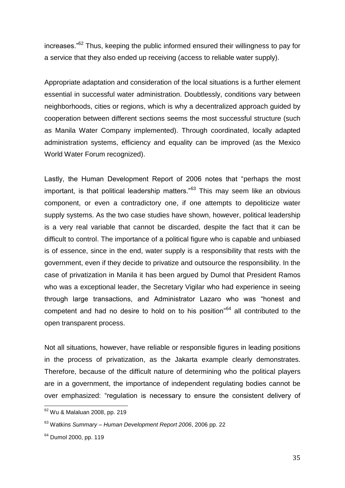increases.<sup>"62</sup> Thus, keeping the public informed ensured their willingness to pay for a service that they also ended up receiving (access to reliable water supply).

Appropriate adaptation and consideration of the local situations is a further element essential in successful water administration. Doubtlessly, conditions vary between neighborhoods, cities or regions, which is why a decentralized approach guided by cooperation between different sections seems the most successful structure (such as Manila Water Company implemented). Through coordinated, locally adapted administration systems, efficiency and equality can be improved (as the Mexico World Water Forum recognized).

Lastly, the Human Development Report of 2006 notes that "perhaps the most important, is that political leadership matters."<sup>63</sup> This may seem like an obvious component, or even a contradictory one, if one attempts to depoliticize water supply systems. As the two case studies have shown, however, political leadership is a very real variable that cannot be discarded, despite the fact that it can be difficult to control. The importance of a political figure who is capable and unbiased is of essence, since in the end, water supply is a responsibility that rests with the government, even if they decide to privatize and outsource the responsibility. In the case of privatization in Manila it has been argued by Dumol that President Ramos who was a exceptional leader, the Secretary Vigilar who had experience in seeing through large transactions, and Administrator Lazaro who was "honest and competent and had no desire to hold on to his position"<sup>64</sup> all contributed to the open transparent process.

Not all situations, however, have reliable or responsible figures in leading positions in the process of privatization, as the Jakarta example clearly demonstrates. Therefore, because of the difficult nature of determining who the political players are in a government, the importance of independent regulating bodies cannot be over emphasized: "regulation is necessary to ensure the consistent delivery of

 $\overline{a}$ <sup>62</sup> Wu & Malaluan 2008, pp. 219

<sup>63</sup> Watkins *Summary – Human Development Report 2006*, 2006 pp. 22

<sup>&</sup>lt;sup>64</sup> Dumol 2000, pp. 119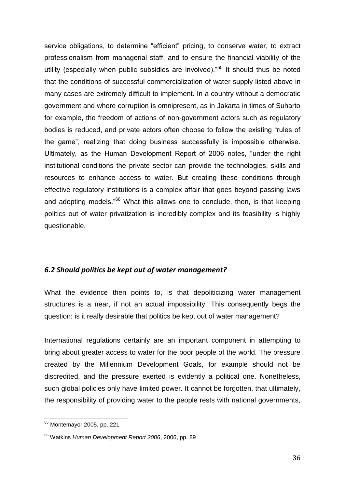service obligations, to determine "efficient" pricing, to conserve water, to extract professionalism from managerial staff, and to ensure the financial viability of the utility (especially when public subsidies are involved)."<sup>65</sup> It should thus be noted that the conditions of successful commercialization of water supply listed above in many cases are extremely difficult to implement. In a country without a democratic government and where corruption is omnipresent, as in Jakarta in times of Suharto for example, the freedom of actions of non-government actors such as regulatory bodies is reduced, and private actors often choose to follow the existing "rules of the game", realizing that doing business successfully is impossible otherwise. Ultimately, as the Human Development Report of 2006 notes, "under the right institutional conditions the private sector can provide the technologies, skills and resources to enhance access to water. But creating these conditions through effective regulatory institutions is a complex affair that goes beyond passing laws and adopting models."<sup>66</sup> What this allows one to conclude, then, is that keeping politics out of water privatization is incredibly complex and its feasibility is highly questionable.

#### *6.2 Should politics be kept out of water management?*

What the evidence then points to, is that depoliticizing water management structures is a near, if not an actual impossibility. This consequently begs the question: is it really desirable that politics be kept out of water management?

International regulations certainly are an important component in attempting to bring about greater access to water for the poor people of the world. The pressure created by the Millennium Development Goals, for example should not be discredited, and the pressure exerted is evidently a political one. Nonetheless, such global policies only have limited power. It cannot be forgotten, that ultimately, the responsibility of providing water to the people rests with national governments,

 $\overline{a}$ <sup>65</sup> Montemayor 2005, pp. 221

<sup>66</sup> Watkins *Human Development Report 2006*, 2006, pp. 89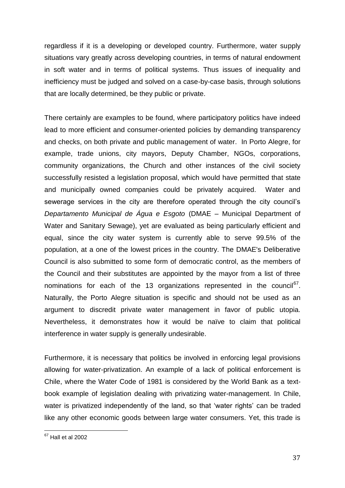regardless if it is a developing or developed country. Furthermore, water supply situations vary greatly across developing countries, in terms of natural endowment in soft water and in terms of political systems. Thus issues of inequality and inefficiency must be judged and solved on a case-by-case basis, through solutions that are locally determined, be they public or private.

There certainly are examples to be found, where participatory politics have indeed lead to more efficient and consumer-oriented policies by demanding transparency and checks, on both private and public management of water. In Porto Alegre, for example, trade unions, city mayors, Deputy Chamber, NGOs, corporations, community organizations, the Church and other instances of the civil society successfully resisted a legislation proposal, which would have permitted that state and municipally owned companies could be privately acquired. Water and sewerage services in the city are therefore operated through the city council's *Departamento Municipal de Água e Esgoto* (DMAE – Municipal Department of Water and Sanitary Sewage), yet are evaluated as being particularly efficient and equal, since the city water system is currently able to serve 99.5% of the population, at a one of the lowest prices in the country. The DMAE's Deliberative Council is also submitted to some form of democratic control, as the members of the Council and their substitutes are appointed by the mayor from a list of three nominations for each of the 13 organizations represented in the council<sup>67</sup>. Naturally, the Porto Alegre situation is specific and should not be used as an argument to discredit private water management in favor of public utopia. Nevertheless, it demonstrates how it would be naïve to claim that political interference in water supply is generally undesirable.

Furthermore, it is necessary that politics be involved in enforcing legal provisions allowing for water-privatization. An example of a lack of political enforcement is Chile, where the Water Code of 1981 is considered by the World Bank as a textbook example of legislation dealing with privatizing water-management. In Chile, water is privatized independently of the land, so that 'water rights' can be traded like any other economic goods between large water consumers. Yet, this trade is

 $^{67}$  Hall et al 2002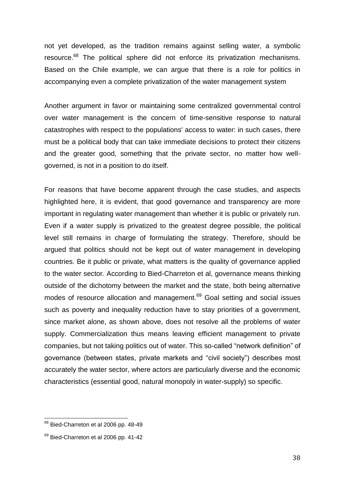not yet developed, as the tradition remains against selling water, a symbolic resource.<sup>68</sup> The political sphere did not enforce its privatization mechanisms. Based on the Chile example, we can argue that there is a role for politics in accompanying even a complete privatization of the water management system

Another argument in favor or maintaining some centralized governmental control over water management is the concern of time-sensitive response to natural catastrophes with respect to the populations' access to water: in such cases, there must be a political body that can take immediate decisions to protect their citizens and the greater good, something that the private sector, no matter how wellgoverned, is not in a position to do itself.

For reasons that have become apparent through the case studies, and aspects highlighted here, it is evident, that good governance and transparency are more important in regulating water management than whether it is public or privately run. Even if a water supply is privatized to the greatest degree possible, the political level still remains in charge of formulating the strategy. Therefore, should be argued that politics should not be kept out of water management in developing countries. Be it public or private, what matters is the quality of governance applied to the water sector. According to Bied-Charreton et al, governance means thinking outside of the dichotomy between the market and the state, both being alternative modes of resource allocation and management.<sup>69</sup> Goal setting and social issues such as poverty and inequality reduction have to stay priorities of a government, since market alone, as shown above, does not resolve all the problems of water supply. Commercialization thus means leaving efficient management to private companies, but not taking politics out of water. This so-called "network definition" of governance (between states, private markets and "civil society") describes most accurately the water sector, where actors are particularly diverse and the economic characteristics (essential good, natural monopoly in water-supply) so specific.

 $^{68}$  Bied-Charreton et al 2006 pp. 48-49

 $69$  Bied-Charreton et al 2006 pp. 41-42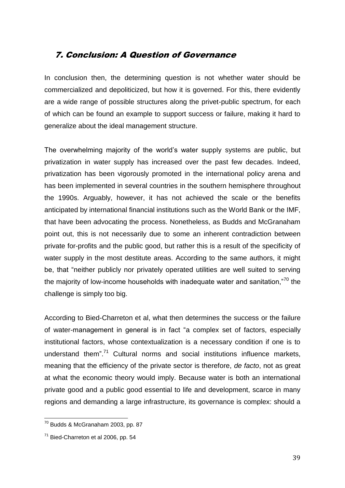## 7. Conclusion: A Question of Governance

In conclusion then, the determining question is not whether water should be commercialized and depoliticized, but how it is governed. For this, there evidently are a wide range of possible structures along the privet-public spectrum, for each of which can be found an example to support success or failure, making it hard to generalize about the ideal management structure.

The overwhelming majority of the world"s water supply systems are public, but privatization in water supply has increased over the past few decades. Indeed, privatization has been vigorously promoted in the international policy arena and has been implemented in several countries in the southern hemisphere throughout the 1990s. Arguably, however, it has not achieved the scale or the benefits anticipated by international financial institutions such as the World Bank or the IMF, that have been advocating the process. Nonetheless, as Budds and McGranaham point out, this is not necessarily due to some an inherent contradiction between private for-profits and the public good, but rather this is a result of the specificity of water supply in the most destitute areas. According to the same authors, it might be, that "neither publicly nor privately operated utilities are well suited to serving the majority of low-income households with inadequate water and sanitation,"<sup>70</sup> the challenge is simply too big.

According to Bied-Charreton et al, what then determines the success or the failure of water-management in general is in fact "a complex set of factors, especially institutional factors, whose contextualization is a necessary condition if one is to understand them".<sup>71</sup> Cultural norms and social institutions influence markets, meaning that the efficiency of the private sector is therefore, *de facto*, not as great at what the economic theory would imply. Because water is both an international private good and a public good essential to life and development, scarce in many regions and demanding a large infrastructure, its governance is complex: should a

 $^{70}$  Budds & McGranaham 2003, pp. 87

 $71$  Bied-Charreton et al 2006, pp. 54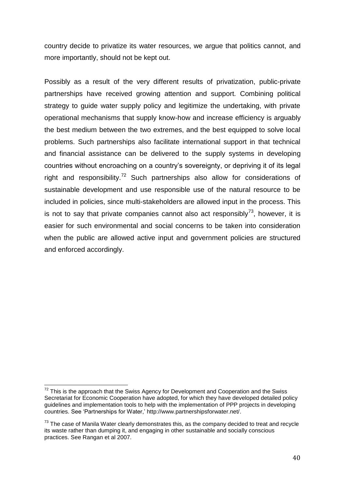country decide to privatize its water resources, we argue that politics cannot, and more importantly, should not be kept out.

Possibly as a result of the very different results of privatization, public-private partnerships have received growing attention and support. Combining political strategy to guide water supply policy and legitimize the undertaking, with private operational mechanisms that supply know-how and increase efficiency is arguably the best medium between the two extremes, and the best equipped to solve local problems. Such partnerships also facilitate international support in that technical and financial assistance can be delivered to the supply systems in developing countries without encroaching on a country"s sovereignty, or depriving it of its legal right and responsibility.<sup>72</sup> Such partnerships also allow for considerations of sustainable development and use responsible use of the natural resource to be included in policies, since multi-stakeholders are allowed input in the process. This is not to say that private companies cannot also act responsibly<sup>73</sup>, however, it is easier for such environmental and social concerns to be taken into consideration when the public are allowed active input and government policies are structured and enforced accordingly.

 $72$  This is the approach that the Swiss Agency for Development and Cooperation and the Swiss Secretariat for Economic Cooperation have adopted, for which they have developed detailed policy guidelines and implementation tools to help with the implementation of PPP projects in developing countries. See "Partnerships for Water," http://www.partnershipsforwater.net/.

 $73$  The case of Manila Water clearly demonstrates this, as the company decided to treat and recycle its waste rather than dumping it, and engaging in other sustainable and socially conscious practices. See Rangan et al 2007.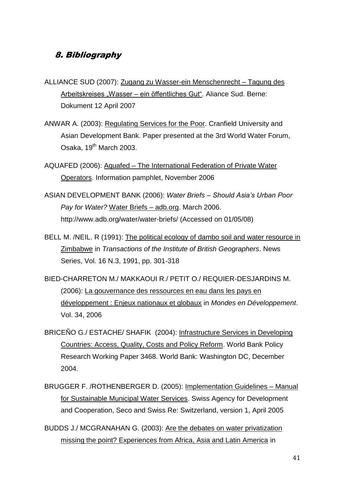# 8. Bibliography

- ALLIANCE SUD (2007): Zugang zu Wasser-ein Menschenrecht Tagung des Arbeitskreises "Wasser – ein öffentliches Gut". Aliance Sud. Berne: Dokument 12 April 2007
- ANWAR A. (2003): Regulating Services for the Poor. Cranfield University and Asian Development Bank. Paper presented at the 3rd World Water Forum, Osaka, 19<sup>th</sup> March 2003.
- AQUAFED (2006): Aquafed The International Federation of Private Water Operators. Information pamphlet, November 2006
- ASIAN DEVELOPMENT BANK (2006): *Water Briefs – Should Asia's Urban Poor Pay for Water?* Water Briefs – adb.org. March 2006. http://www.adb.org/water/water-briefs/ (Accessed on 01/05/08)
- BELL M. /NEIL. R (1991): The political ecology of dambo soil and water resource in Zimbabwe in *Transactions of the Institute of British Geographers*. News Series, Vol. 16 N.3, 1991, pp. 301-318
- BIED-CHARRETON M./ MAKKAOUI R./ PETIT O./ REQUIER-DESJARDINS M. (2006): La gouvernance des ressources en eau dans les pays en développement : Enjeux nationaux et globaux in *Mondes en Développement*. Vol. 34, 2006
- BRICEÑO G./ ESTACHE/ SHAFIK (2004): Infrastructure Services in Developing Countries: Access, Quality, Costs and Policy Reform. World Bank Policy Research Working Paper 3468. World Bank: Washington DC, December 2004.
- BRUGGER F. /ROTHENBERGER D. (2005): Implementation Guidelines Manual for Sustainable Municipal Water Services. Swiss Agency for Development and Cooperation, Seco and Swiss Re: Switzerland, version 1, April 2005
- BUDDS J./ MCGRANAHAN G. (2003): Are the debates on water privatization missing the point? Experiences from Africa, Asia and Latin America in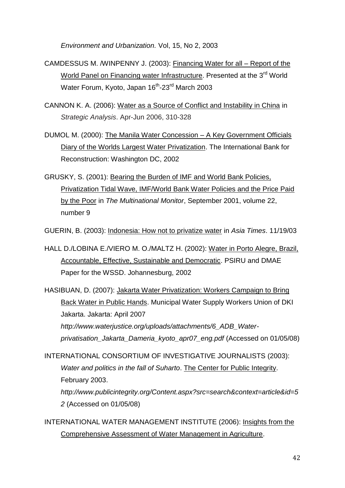*Environment and Urbanization.* Vol, 15, No 2, 2003

- CAMDESSUS M. /WINPENNY J. (2003): Financing Water for all Report of the World Panel on Financing water Infrastructure. Presented at the 3<sup>rd</sup> World Water Forum, Kyoto, Japan 16<sup>th</sup>-23<sup>rd</sup> March 2003
- CANNON K. A. (2006): Water as a Source of Conflict and Instability in China in *Strategic Analysis*. Apr-Jun 2006, 310-328
- DUMOL M. (2000): The Manila Water Concession A Key Government Officials Diary of the Worlds Largest Water Privatization. The International Bank for Reconstruction: Washington DC, 2002
- GRUSKY, S. (2001): Bearing the Burden of IMF and World Bank Policies, Privatization Tidal Wave, IMF/World Bank Water Policies and the Price Paid by the Poor in *The Multinational Monitor*, September 2001, volume 22, number 9

GUERIN, B. (2003): Indonesia: How not to privatize water in *Asia Times*. 11/19/03

HALL D./LOBINA E./VIERO M. O./MALTZ H. (2002): Water in Porto Alegre, Brazil, Accountable, Effective, Sustainable and Democratic. PSIRU and DMAE Paper for the WSSD. Johannesburg, 2002

HASIBUAN, D. (2007): Jakarta Water Privatization: Workers Campaign to Bring Back Water in Public Hands. Municipal Water Supply Workers Union of DKI Jakarta. Jakarta: April 2007 *http://www.waterjustice.org/uploads/attachments/6\_ADB\_Waterprivatisation\_Jakarta\_Dameria\_kyoto\_apr07\_eng.pdf* (Accessed on 01/05/08)

INTERNATIONAL CONSORTIUM OF INVESTIGATIVE JOURNALISTS (2003): *Water and politics in the fall of Suharto*. The Center for Public Integrity. February 2003. *http://www.publicintegrity.org/Content.aspx?src=search&context=article&id=5 2* (Accessed on 01/05/08)

INTERNATIONAL WATER MANAGEMENT INSTITUTE (2006): Insights from the Comprehensive Assessment of Water Management in Agriculture.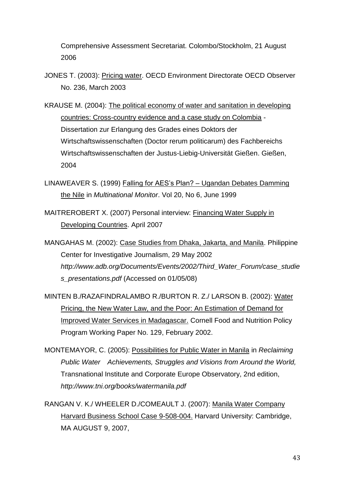Comprehensive Assessment Secretariat. Colombo/Stockholm, 21 August 2006

- JONES T. (2003): Pricing water. OECD Environment Directorate OECD Observer No. 236, March 2003
- KRAUSE M. (2004): The political economy of water and sanitation in developing countries: Cross-country evidence and a case study on Colombia - Dissertation zur Erlangung des Grades eines Doktors der Wirtschaftswissenschaften (Doctor rerum politicarum) des Fachbereichs Wirtschaftswissenschaften der Justus-Liebig-Universität Gießen. Gießen, 2004
- LINAWEAVER S. (1999) Falling for AES"s Plan? Ugandan Debates Damming the Nile in *Multinational Monitor*. Vol 20, No 6, June 1999
- MAITREROBERT X. (2007) Personal interview: Financing Water Supply in Developing Countries. April 2007
- MANGAHAS M. (2002): Case Studies from Dhaka, Jakarta, and Manila. Philippine Center for Investigative Journalism, 29 May 2002 *http://www.adb.org/Documents/Events/2002/Third\_Water\_Forum/case\_studie s\_presentations.pdf* (Accessed on 01/05/08)
- MINTEN B./RAZAFINDRALAMBO R./BURTON R. Z./ LARSON B. (2002): Water Pricing, the New Water Law, and the Poor: An Estimation of Demand for Improved Water Services in Madagascar. Cornell Food and Nutrition Policy Program Working Paper No. 129, February 2002.
- MONTEMAYOR, C. (2005): Possibilities for Public Water in Manila in *Reclaiming Public Water Achievements, Struggles and Visions from Around the World,*  Transnational Institute and Corporate Europe Observatory, 2nd edition, *http://www.tni.org/books/watermanila.pdf*
- RANGAN V. K./ WHEELER D./COMEAULT J. (2007): Manila Water Company Harvard Business School Case 9-508-004. Harvard University: Cambridge, MA AUGUST 9, 2007,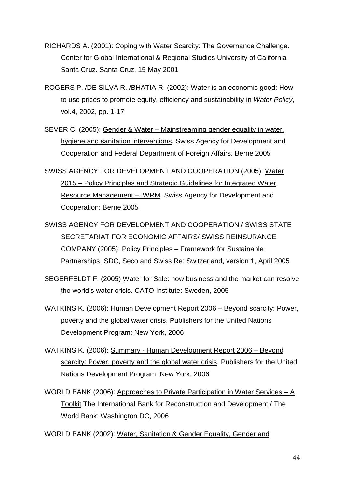RICHARDS A. (2001): Coping with Water Scarcity: The Governance Challenge. Center for Global International & Regional Studies University of California Santa Cruz. Santa Cruz, 15 May 2001

ROGERS P. /DE SILVA R. /BHATIA R. (2002): Water is an economic good: How to use prices to promote equity, efficiency and sustainability in *Water Policy*, vol.4, 2002, pp. 1-17

SEVER C. (2005): Gender & Water – Mainstreaming gender equality in water, hygiene and sanitation interventions. Swiss Agency for Development and Cooperation and Federal Department of Foreign Affairs. Berne 2005

SWISS AGENCY FOR DEVELOPMENT AND COOPERATION (2005): Water 2015 – Policy Principles and Strategic Guidelines for Integrated Water Resource Management – IWRM. Swiss Agency for Development and Cooperation: Berne 2005

SWISS AGENCY FOR DEVELOPMENT AND COOPERATION / SWISS STATE SECRETARIAT FOR ECONOMIC AFFAIRS/ SWISS REINSURANCE COMPANY (2005): Policy Principles – Framework for Sustainable Partnerships. SDC, Seco and Swiss Re: Switzerland, version 1, April 2005

SEGERFELDT F. (2005) Water for Sale: how business and the market can resolve the world"s water crisis. CATO Institute: Sweden, 2005

WATKINS K. (2006): Human Development Report 2006 – Beyond scarcity: Power, poverty and the global water crisis. Publishers for the United Nations Development Program: New York, 2006

- WATKINS K. (2006): Summary Human Development Report 2006 Beyond scarcity: Power, poverty and the global water crisis. Publishers for the United Nations Development Program: New York, 2006
- WORLD BANK (2006): Approaches to Private Participation in Water Services A Toolkit The International Bank for Reconstruction and Development / The World Bank: Washington DC, 2006

WORLD BANK (2002): Water, Sanitation & Gender Equality, Gender and